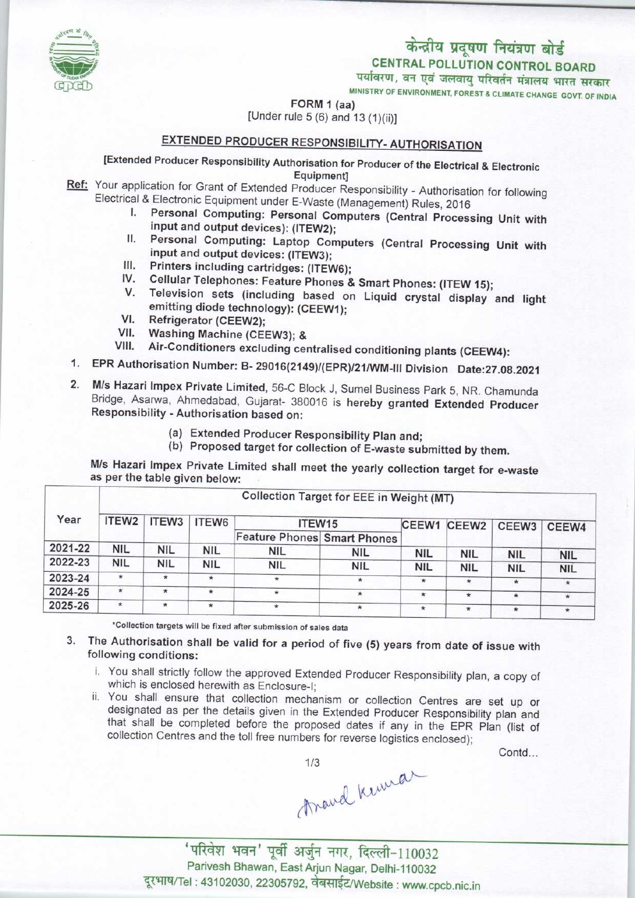# केन्द्रीय प्रदूषण नियंत्रण बोर्ड

CENTRAL POLLUTION CONTROL BOARD

पर्यावरण, वन एवं जलवायु परिवर्तन मंत्रालय भारत सरकार

MINISTRY OF ENVIRONMENT, FOREST & CLIMATE CHANGE GOVT. OF INDIA

FORM 1 (aa) [Under rule 5 (6) and 13 (1)(ii)]

### EXTENDED PRODUCER RESPONSIBILITY-AUTHORISATION

[Extended Producer Responsibility Authorisation for Producer of the Electrical & Electronic Equipment]

- Ref: Your application for Grant of Extended Producer Responsibility Authorisation for following Electrical & Electronic Equipment under E-Waste (Management) Rules, 2016
	- I. Personal Computing: Personal Computers (Central Processing Unit with input and output devices): (ITEW2);
	- II. Personal Computing: Laptop Computers (Central Processing Unit with input and output devices: (ITEW3);
	- III. Printers including cartridges: (ITEW6);<br>IV. Cellular Telephones: Feature Phones &
	- IV. Cellular Telephones: Feature Phones & Smart Phones: (ITEW 15);<br>V. Television sets (including based on Liquid expatal director)
	- Television sets (including based on Liquid crystal display and light v. Television sets (including based of<br>
	emitting diode technology): (CEEW1);<br>
	VI. Refrigerator (CEEW2);<br>
	Westing M. (1)
	-
	- VI. Refrigerator (CEEW2);<br>VII. Washing Machine (CEEW3); &<br>VIII. Air-Conditioners excluding cel
	- Air-Conditioners excluding centralised conditioning plants (CEEW4):
- 1.EPR Authorisation Number: B- 29016(2149)/(EPR)/21/WM-lll Division Dato:27.08.2021
- 2.M/s Hazari Impex Private Limited, 56-C Block J, Sumel Business Park 5, NR. Chamunda Bridge, Asarwa, Ahmedabad, Gujarat- 380016 is hereby granted Extended Producer Responsibility - Authorisation based on:
	- (a)Extended Producer Responsibility Plan and;
	- (b) Proposed target for collection of E-waste submitted by them.

M/s Hazari Impex Private Limited shall meet the yearly collection target for e-waste as per the table given below:

| Year    | Collection Target for EEE in Weight (MT) |            |                   |                                    |            |            |                   |                   |            |
|---------|------------------------------------------|------------|-------------------|------------------------------------|------------|------------|-------------------|-------------------|------------|
|         | ITEW <sub>2</sub>                        | ITEW3      | ITEW <sub>6</sub> | ITEW15                             |            | CEEW1      | CEEW <sub>2</sub> | CEEW <sub>3</sub> | CEEW4      |
|         |                                          |            |                   | <b>Feature Phones Smart Phones</b> |            |            |                   |                   |            |
| 2021-22 | <b>NIL</b>                               | NIL        | <b>NIL</b>        | <b>NIL</b>                         | <b>NIL</b> | <b>NIL</b> | <b>NIL</b>        | <b>NIL</b>        | <b>NIL</b> |
| 2022-23 | <b>NIL</b>                               | <b>NIL</b> | <b>NIL</b>        | <b>NIL</b>                         | <b>NIL</b> | <b>NIL</b> | <b>NIL</b>        | <b>NIL</b>        | <b>NIL</b> |
| 2023-24 | $\star$                                  | $\star$    | $\star$           | $\star$                            | $\star$    | $\star$    | $\star$           | $\star$           | $\star$    |
| 2024-25 | $\star$                                  | $\star$    | $\star$           | $\star$                            | $\star$    | $\star$    | $\star$           | $\star$           |            |
| 2025-26 | $\star$                                  | $\star$    | ÷                 | ÷                                  | $\ast$     | $\star$    | $\star$           | $\star$           | $\star$    |

\*Collection targets will be fixed after submission of sales data

- 3. The Authorisation shall be valid for a period of five (5) years from date of issue with following conditions:
	- i. You shall strictly follow the approved Extended Producer Responsibility plan, a copy of which is enclosed herewith as Enclosure-I;
	- ii. You shall ensure that collection mechanism or collection Centres are set up or designated as per the details given in the Extended Producer Responsibility plan and that shall be completed before the proposed dates if any in the EPR Plan (list of collection Centres and the toll free numbers for reverse logistics enclosed);

Contd...

Arand Kennar

'परिवेश भवन' पूर्वी अर्जुन नगर, दिल्ली-110032 Parivesh Bhawan, East Arjun Nagar, Delhi-110032 दूरभाष/Tel: 43102030, 22305792, वेबसाईट/Website : www.cpcb.nic.in

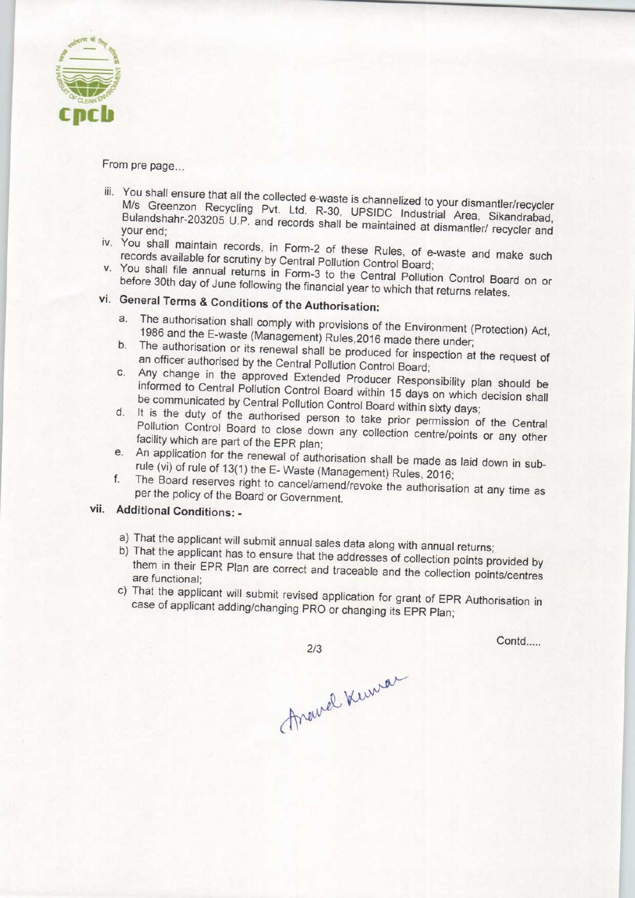

From pre page...

- iii. You shall ensure that all the collected e-waste is channelized to your dismantler was M/s Greenzon Recycling Pyt. Ltd. R-30, UPSIDC Industrial Area, Missimantler/recycle Bulandshahr-203205 U.P. and records shall be maintained at dismantle Sikandrabad your end;
- iv. You shall maintain records, in Form-2 of these Rules, of e-waste and make such records available for scrutiny by Central Pollution Control Board;
- v. You shall file annual returns in Form-3 to the Central Pollution Control Board on or before 30th day of June following the financial year to which that returns relates.

## vi. General Terms & Conditions of the Authorisation:

- a.The authorisation shall comply with provisions of the Environment (Protection) Act, 1986 and the E-waste (Management) Rules,2016 made there under;
- b. The authorisation or its renewal shall be produced for inspection at the request of an officer authorised by the Central Pollution Control Board;
- c. Any change in the approved Extended Producer Responsibility plan should be informed to Central Pollution Control Board within 15 days on which decision shall be communicated by Central Pollution Control Board within sixty days;
- d. It is the duty of the authorised person to take prior permission of the Central Pollution Control Board to close down any collection centre/points or any other facility which are part of the EPR plan;
- e. An application for the renewal of authorisation shall be made as laid down in subrule (vi) of rule of 13(1) the E-Waste (Management) Rules, 2016;
- f. The Board reserves right to cancel/amend/revoke the authorisation at any time as per the policy of the Board or Government.

### vii. Additional Conditions: -

- a) That the applicant will submit annual sales data along with annual returns;
- b) That the applicant has to ensure that the addresses of collection points provided by them in their EPR Plan are correct and traceable and the collection points provided by are functional;
- are functional;<br>c) That the applicant will submit revised application for grant of EPR Authorisation in case of applicant adding/changing PRO or changing its EPR Plan;

 $2/3$ 

Contd.....

Around Kinner